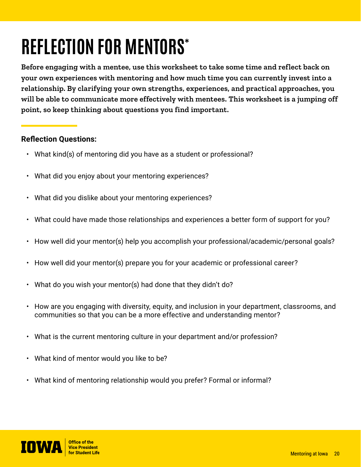## **REFLECTION FOR MENTORS\***

**Before engaging with a mentee, use this worksheet to take some time and reflect back on your own experiences with mentoring and how much time you can currently invest into a relationship. By clarifying your own strengths, experiences, and practical approaches, you will be able to communicate more effectively with mentees. This worksheet is a jumping off point, so keep thinking about questions you find important.**

## **Reflection Questions:**

- What kind(s) of mentoring did you have as a student or professional?
- What did you enjoy about your mentoring experiences?
- What did you dislike about your mentoring experiences?
- What could have made those relationships and experiences a better form of support for you?
- How well did your mentor(s) help you accomplish your professional/academic/personal goals?
- How well did your mentor(s) prepare you for your academic or professional career?
- What do you wish your mentor(s) had done that they didn't do?
- How are you engaging with diversity, equity, and inclusion in your department, classrooms, and communities so that you can be a more effective and understanding mentor?
- What is the current mentoring culture in your department and/or profession?
- What kind of mentor would you like to be?
- What kind of mentoring relationship would you prefer? Formal or informal?